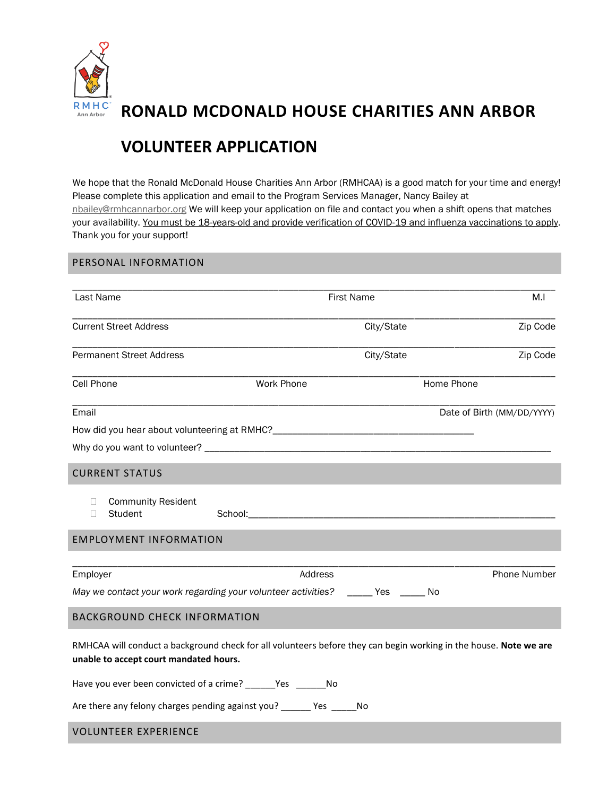

 **RONALD MCDONALD HOUSE CHARITIES ANN ARBOR**

## **VOLUNTEER APPLICATION**

We hope that the Ronald McDonald House Charities Ann Arbor (RMHCAA) is a good match for your time and energy! Please complete this application and email to the Program Services Manager, Nancy Bailey at [nbailey@rmhcannarbor.org](mailto:nbailey@rmhcannarbor.org) We will keep your application on file and contact you when a shift opens that matches your availability. You must be 18-years-old and provide verification of COVID-19 and influenza vaccinations to apply. Thank you for your support!

## PERSONAL INFORMATION

| Last Name                                                                                                                                                   |                   | <b>First Name</b> | M.I                        |  |
|-------------------------------------------------------------------------------------------------------------------------------------------------------------|-------------------|-------------------|----------------------------|--|
| <b>Current Street Address</b>                                                                                                                               |                   | City/State        | Zip Code                   |  |
| <b>Permanent Street Address</b>                                                                                                                             |                   | City/State        | Zip Code                   |  |
| Cell Phone                                                                                                                                                  | <b>Work Phone</b> |                   | Home Phone                 |  |
| Email                                                                                                                                                       |                   |                   | Date of Birth (MM/DD/YYYY) |  |
|                                                                                                                                                             |                   |                   |                            |  |
|                                                                                                                                                             |                   |                   |                            |  |
| <b>CURRENT STATUS</b>                                                                                                                                       |                   |                   |                            |  |
| <b>Community Resident</b><br>П.<br>Student<br>П                                                                                                             |                   |                   |                            |  |
| <b>EMPLOYMENT INFORMATION</b>                                                                                                                               |                   |                   |                            |  |
|                                                                                                                                                             |                   |                   |                            |  |
| Employer                                                                                                                                                    | Address           |                   | Phone Number               |  |
| May we contact your work regarding your volunteer activities? ______ Yes ______ No                                                                          |                   |                   |                            |  |
| <b>BACKGROUND CHECK INFORMATION</b>                                                                                                                         |                   |                   |                            |  |
| RMHCAA will conduct a background check for all volunteers before they can begin working in the house. Note we are<br>unable to accept court mandated hours. |                   |                   |                            |  |
| Have you ever been convicted of a crime? ______Yes ______No                                                                                                 |                   |                   |                            |  |
| Are there any felony charges pending against you? _______ Yes ______ No                                                                                     |                   |                   |                            |  |

## VOLUNTEER EXPERIENCE